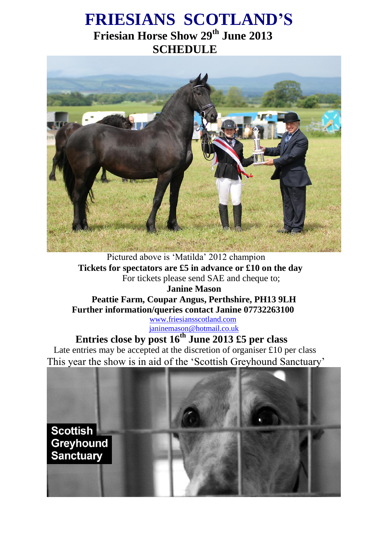# **FRIESIANS SCOTLAND'S Friesian Horse Show 29th June 2013 SCHEDULE**



Pictured above is 'Matilda' 2012 champion  **Tickets for spectators are £5 in advance or £10 on the day** For tickets please send SAE and cheque to;

**Janine Mason Peattie Farm, Coupar Angus, Perthshire, PH13 9LH Further information/queries contact Janine 07732263100**

> [www.friesiansscotland.com](http://www.friesiansscotland.com/) [janinemason@hotmail.co.uk](mailto:janinemason@hotmail.co.uk)

# **Entries close by post 16th June 2013 £5 per class**

Late entries may be accepted at the discretion of organiser £10 per class This year the show is in aid of the 'Scottish Greyhound Sanctuary'

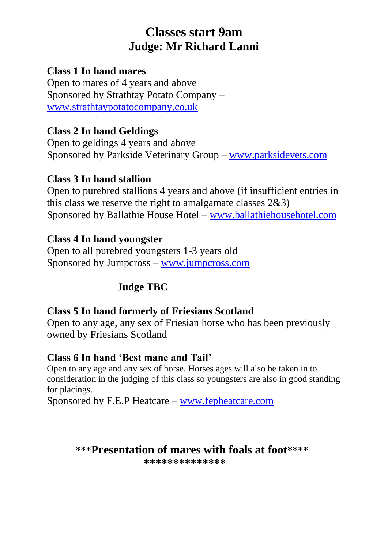# **Classes start 9am Judge: Mr Richard Lanni**

## **Class 1 In hand mares**

Open to mares of 4 years and above Sponsored by Strathtay Potato Company – [www.strathtaypotatocompany.co.uk](http://www.strathtaypotatocompany.co.uk/)

## **Class 2 In hand Geldings**

Open to geldings 4 years and above Sponsored by Parkside Veterinary Group – [www.parksidevets.com](http://www.parksidevets.com/)

## **Class 3 In hand stallion**

Open to purebred stallions 4 years and above (if insufficient entries in this class we reserve the right to amalgamate classes 2&3) Sponsored by Ballathie House Hotel – [www.ballathiehousehotel.com](http://www.ballathiehousehotel.com/)

## **Class 4 In hand youngster**

Open to all purebred youngsters 1-3 years old Sponsored by Jumpcross – [www.jumpcross.com](http://www.jumpcross.com/)

## **Judge TBC**

## **Class 5 In hand formerly of Friesians Scotland**

Open to any age, any sex of Friesian horse who has been previously owned by Friesians Scotland

## **Class 6 In hand 'Best mane and Tail'**

Open to any age and any sex of horse. Horses ages will also be taken in to consideration in the judging of this class so youngsters are also in good standing for placings.

Sponsored by F.E.P Heatcare – [www.fepheatcare.com](http://www.fepheatcare.com/)

## **\*\*\*Presentation of mares with foals at foot\*\*\*\***

**\*\*\*\*\*\*\*\*\*\*\*\*\*\***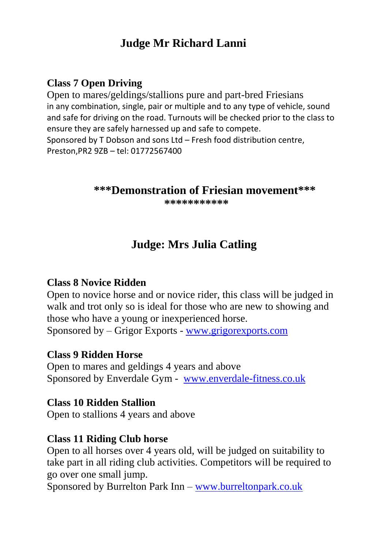# **Judge Mr Richard Lanni**

## **Class 7 Open Driving**

Open to mares/geldings/stallions pure and part-bred Friesians in any combination, single, pair or multiple and to any type of vehicle, sound and safe for driving on the road. Turnouts will be checked prior to the class to ensure they are safely harnessed up and safe to compete. Sponsored by T Dobson and sons Ltd – Fresh food distribution centre, Preston,PR2 9ZB – tel: 01772567400

#### **\*\*\*Demonstration of Friesian movement\*\*\***

**\*\*\*\*\*\*\*\*\*\*\***

# **Judge: Mrs Julia Catling**

#### **Class 8 Novice Ridden**

Open to novice horse and or novice rider, this class will be judged in walk and trot only so is ideal for those who are new to showing and those who have a young or inexperienced horse. Sponsored by – Grigor Exports - [www.grigorexports.com](http://www.grigorexports.com/)

#### **Class 9 Ridden Horse**

Open to mares and geldings 4 years and above Sponsored by Enverdale Gym - [www.enverdale-fitness.co.uk](http://www.enverdale-fitness.co.uk/)

#### **Class 10 Ridden Stallion**

Open to stallions 4 years and above

#### **Class 11 Riding Club horse**

Open to all horses over 4 years old, will be judged on suitability to take part in all riding club activities. Competitors will be required to go over one small jump.

Sponsored by Burrelton Park Inn – [www.burreltonpark.co.uk](http://www.burreltonpark.co.uk/)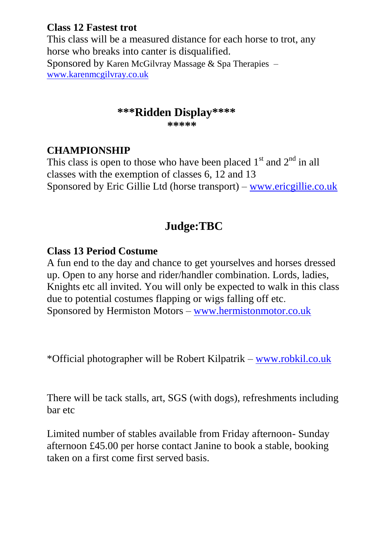## **Class 12 Fastest trot**

This class will be a measured distance for each horse to trot, any horse who breaks into canter is disqualified. Sponsored by Karen McGilvray Massage & Spa Therapies – [www.karenmcgilvray.co.uk](http://www.karenmcgilvray.co.uk/)

## **\*\*\*Ridden Display\*\*\*\***

 **\*\*\*\*\***

## **CHAMPIONSHIP**

This class is open to those who have been placed  $1<sup>st</sup>$  and  $2<sup>nd</sup>$  in all classes with the exemption of classes 6, 12 and 13 Sponsored by Eric Gillie Ltd (horse transport) – [www.ericgillie.co.uk](http://www.ericgillie.co.uk/)

# **Judge:TBC**

## **Class 13 Period Costume**

A fun end to the day and chance to get yourselves and horses dressed up. Open to any horse and rider/handler combination. Lords, ladies, Knights etc all invited. You will only be expected to walk in this class due to potential costumes flapping or wigs falling off etc. Sponsored by Hermiston Motors – [www.hermistonmotor.co.uk](http://www.hermistonmotor.co.uk/)

\*Official photographer will be Robert Kilpatrik – [www.robkil.co.uk](http://www.robkil.co.uk/)

There will be tack stalls, art, SGS (with dogs), refreshments including bar etc

Limited number of stables available from Friday afternoon- Sunday afternoon £45.00 per horse contact Janine to book a stable, booking taken on a first come first served basis.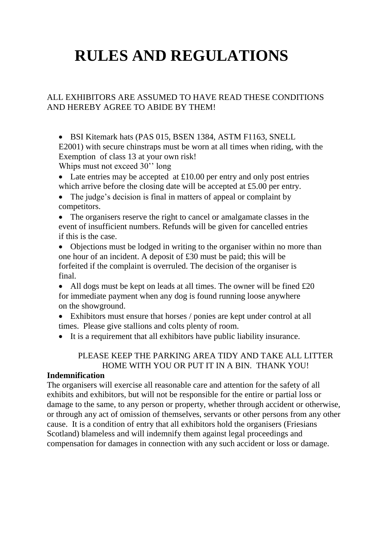# **RULES AND REGULATIONS**

#### ALL EXHIBITORS ARE ASSUMED TO HAVE READ THESE CONDITIONS AND HEREBY AGREE TO ABIDE BY THEM!

• BSI Kitemark hats (PAS 015, BSEN 1384, ASTM F1163, SNELL E2001) with secure chinstraps must be worn at all times when riding, with the Exemption of class 13 at your own risk! Whips must not exceed 30'' long

• Late entries may be accepted at £10.00 per entry and only post entries which arrive before the closing date will be accepted at £5.00 per entry.

• The judge's decision is final in matters of appeal or complaint by competitors.

 The organisers reserve the right to cancel or amalgamate classes in the event of insufficient numbers. Refunds will be given for cancelled entries if this is the case.

• Objections must be lodged in writing to the organiser within no more than one hour of an incident. A deposit of £30 must be paid; this will be forfeited if the complaint is overruled. The decision of the organiser is final.

• All dogs must be kept on leads at all times. The owner will be fined  $£20$ for immediate payment when any dog is found running loose anywhere on the showground.

 Exhibitors must ensure that horses / ponies are kept under control at all times. Please give stallions and colts plenty of room.

It is a requirement that all exhibitors have public liability insurance.

#### PLEASE KEEP THE PARKING AREA TIDY AND TAKE ALL LITTER HOME WITH YOU OR PUT IT IN A BIN. THANK YOU!

#### **Indemnification**

The organisers will exercise all reasonable care and attention for the safety of all exhibits and exhibitors, but will not be responsible for the entire or partial loss or damage to the same, to any person or property, whether through accident or otherwise, or through any act of omission of themselves, servants or other persons from any other cause. It is a condition of entry that all exhibitors hold the organisers (Friesians Scotland) blameless and will indemnify them against legal proceedings and compensation for damages in connection with any such accident or loss or damage.